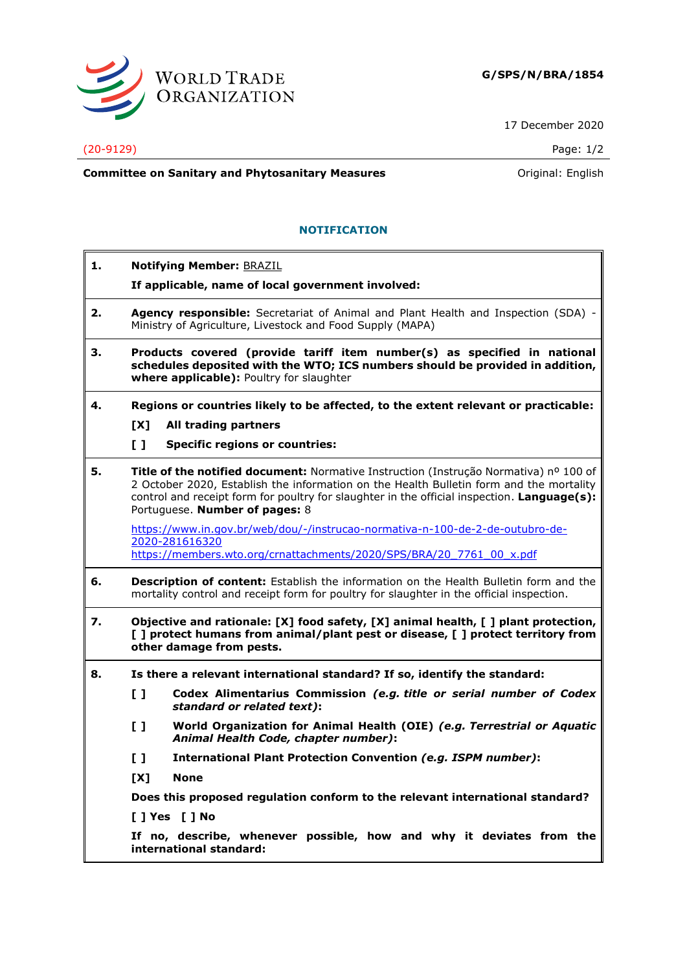

17 December 2020

## (20-9129) Page: 1/2

**Committee on Sanitary and Phytosanitary Measures Committee on Sanitary and Phytosanitary Measures Committee And American** 

## **NOTIFICATION**

**1. Notifying Member:** BRAZIL **If applicable, name of local government involved: 2. Agency responsible:** Secretariat of Animal and Plant Health and Inspection (SDA) - Ministry of Agriculture, Livestock and Food Supply (MAPA) **3. Products covered (provide tariff item number(s) as specified in national schedules deposited with the WTO; ICS numbers should be provided in addition, where applicable):** Poultry for slaughter **4. Regions or countries likely to be affected, to the extent relevant or practicable: [X] All trading partners [ ] Specific regions or countries: 5. Title of the notified document:** Normative Instruction (Instrução Normativa) nº 100 of 2 October 2020, Establish the information on the Health Bulletin form and the mortality control and receipt form for poultry for slaughter in the official inspection. **Language(s):** Portuguese. **Number of pages:** 8 [https://www.in.gov.br/web/dou/-/instrucao-normativa-n-100-de-2-de-outubro-de-](https://www.in.gov.br/web/dou/-/instrucao-normativa-n-100-de-2-de-outubro-de-2020-281616320)[2020-281616320](https://www.in.gov.br/web/dou/-/instrucao-normativa-n-100-de-2-de-outubro-de-2020-281616320) [https://members.wto.org/crnattachments/2020/SPS/BRA/20\\_7761\\_00\\_x.pdf](https://members.wto.org/crnattachments/2020/SPS/BRA/20_7761_00_x.pdf) **6. Description of content:** Establish the information on the Health Bulletin form and the mortality control and receipt form for poultry for slaughter in the official inspection. **7. Objective and rationale: [X] food safety, [X] animal health, [ ] plant protection, [ ] protect humans from animal/plant pest or disease, [ ] protect territory from other damage from pests. 8. Is there a relevant international standard? If so, identify the standard: [ ] Codex Alimentarius Commission** *(e.g. title or serial number of Codex standard or related text)***: [ ] World Organization for Animal Health (OIE)** *(e.g. Terrestrial or Aquatic Animal Health Code, chapter number)***: [ ] International Plant Protection Convention** *(e.g. ISPM number)***: [X] None Does this proposed regulation conform to the relevant international standard? [ ] Yes [ ] No If no, describe, whenever possible, how and why it deviates from the international standard:**